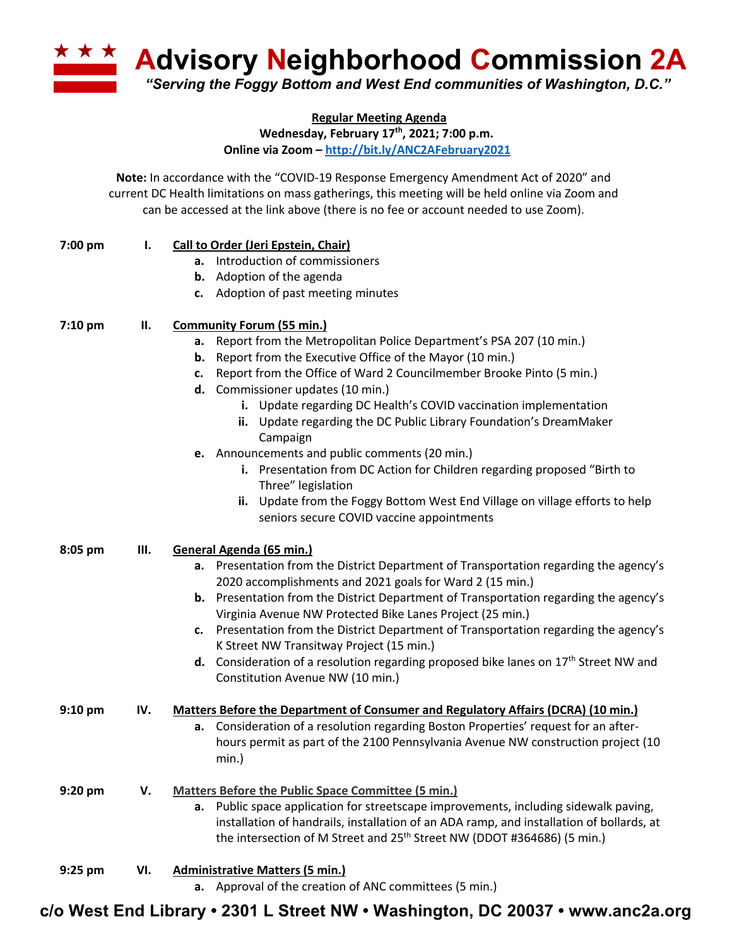**A Advisory Neighborhood Commission 2A** *"Serving the Foggy Bottom and West End communities of Washington, D.C."*

**Regular Meeting Agenda**

**Wednesday, February 17th, 2021; 7:00 p.m.**

**Online via Zoom – http://bit.ly/ANC2AFebruary2021**

**Note:** In accordance with the "COVID-19 Response Emergency Amendment Act of 2020" and current DC Health limitations on mass gatherings, this meeting will be held online via Zoom and can be accessed at the link above (there is no fee or account needed to use Zoom).

| 7:00 pm | Ι.  | Call to Order (Jeri Epstein, Chair)                                                                                               |
|---------|-----|-----------------------------------------------------------------------------------------------------------------------------------|
|         |     | a. Introduction of commissioners                                                                                                  |
|         |     | <b>b.</b> Adoption of the agenda                                                                                                  |
|         |     | c. Adoption of past meeting minutes                                                                                               |
| 7:10 pm | П.  | <b>Community Forum (55 min.)</b>                                                                                                  |
|         |     | a. Report from the Metropolitan Police Department's PSA 207 (10 min.)                                                             |
|         |     | <b>b.</b> Report from the Executive Office of the Mayor (10 min.)                                                                 |
|         |     | c. Report from the Office of Ward 2 Councilmember Brooke Pinto (5 min.)                                                           |
|         |     | d. Commissioner updates (10 min.)                                                                                                 |
|         |     | i. Update regarding DC Health's COVID vaccination implementation                                                                  |
|         |     | ii. Update regarding the DC Public Library Foundation's DreamMaker<br>Campaign                                                    |
|         |     | e. Announcements and public comments (20 min.)                                                                                    |
|         |     | i. Presentation from DC Action for Children regarding proposed "Birth to<br>Three" legislation                                    |
|         |     | Update from the Foggy Bottom West End Village on village efforts to help<br>ii.                                                   |
|         |     | seniors secure COVID vaccine appointments                                                                                         |
| 8:05 pm | Ш.  | General Agenda (65 min.)                                                                                                          |
|         |     | a. Presentation from the District Department of Transportation regarding the agency's                                             |
|         |     | 2020 accomplishments and 2021 goals for Ward 2 (15 min.)                                                                          |
|         |     | b. Presentation from the District Department of Transportation regarding the agency's                                             |
|         |     | Virginia Avenue NW Protected Bike Lanes Project (25 min.)                                                                         |
|         |     | Presentation from the District Department of Transportation regarding the agency's<br>c.                                          |
|         |     | K Street NW Transitway Project (15 min.)                                                                                          |
|         |     | <b>d.</b> Consideration of a resolution regarding proposed bike lanes on $17th$ Street NW and<br>Constitution Avenue NW (10 min.) |
| 9:10 pm | IV. | <b>Matters Before the Department of Consumer and Regulatory Affairs (DCRA) (10 min.)</b>                                          |
|         |     | Consideration of a resolution regarding Boston Properties' request for an after-<br>a.                                            |
|         |     | hours permit as part of the 2100 Pennsylvania Avenue NW construction project (10                                                  |
|         |     | min.)                                                                                                                             |
| 9:20 pm | V.  | <b>Matters Before the Public Space Committee (5 min.)</b>                                                                         |
|         |     | a. Public space application for streetscape improvements, including sidewalk paving,                                              |
|         |     | installation of handrails, installation of an ADA ramp, and installation of bollards, at                                          |
|         |     | the intersection of M Street and 25 <sup>th</sup> Street NW (DDOT #364686) (5 min.)                                               |
| 9:25 pm | VI. | <b>Administrative Matters (5 min.)</b>                                                                                            |
|         |     | a. Approval of the creation of ANC committees (5 min.)                                                                            |

**c/o West End Library • 2301 L Street NW • Washington, DC 20037 • www.anc2a.org**